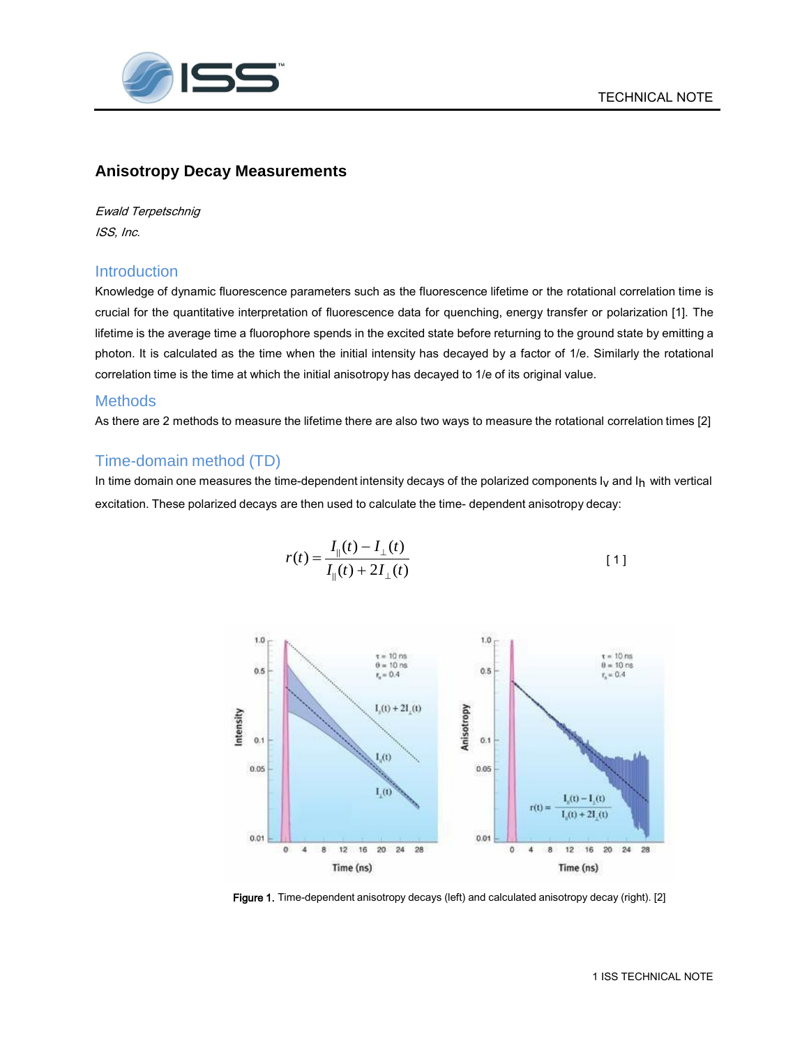

## **Anisotropy Decay Measurements**

Ewald Terpetschnig ISS, Inc.

## **Introduction**

Knowledge of dynamic fluorescence parameters such as the fluorescence lifetime or the rotational correlation time is crucial for the quantitative interpretation of fluorescence data for quenching, energy transfer or polarization [1]. The lifetime is the average time a fluorophore spends in the excited state before returning to the ground state by emitting a photon. It is calculated as the time when the initial intensity has decayed by a factor of 1/e. Similarly the rotational correlation time is the time at which the initial anisotropy has decayed to 1/e of its original value.

#### **Methods**

As there are 2 methods to measure the lifetime there are also two ways to measure the rotational correlation times [2]

# Time-domain method (TD)

In time domain one measures the time-dependent intensity decays of the polarized components  $I_V$  and  $I_H$  with vertical excitation. These polarized decays are then used to calculate the time- dependent anisotropy decay:

$$
r(t) = \frac{I_{\parallel}(t) - I_{\perp}(t)}{I_{\parallel}(t) + 2I_{\perp}(t)}
$$
 [1]



Figure 1. Time-dependent anisotropy decays (left) and calculated anisotropy decay (right). [2]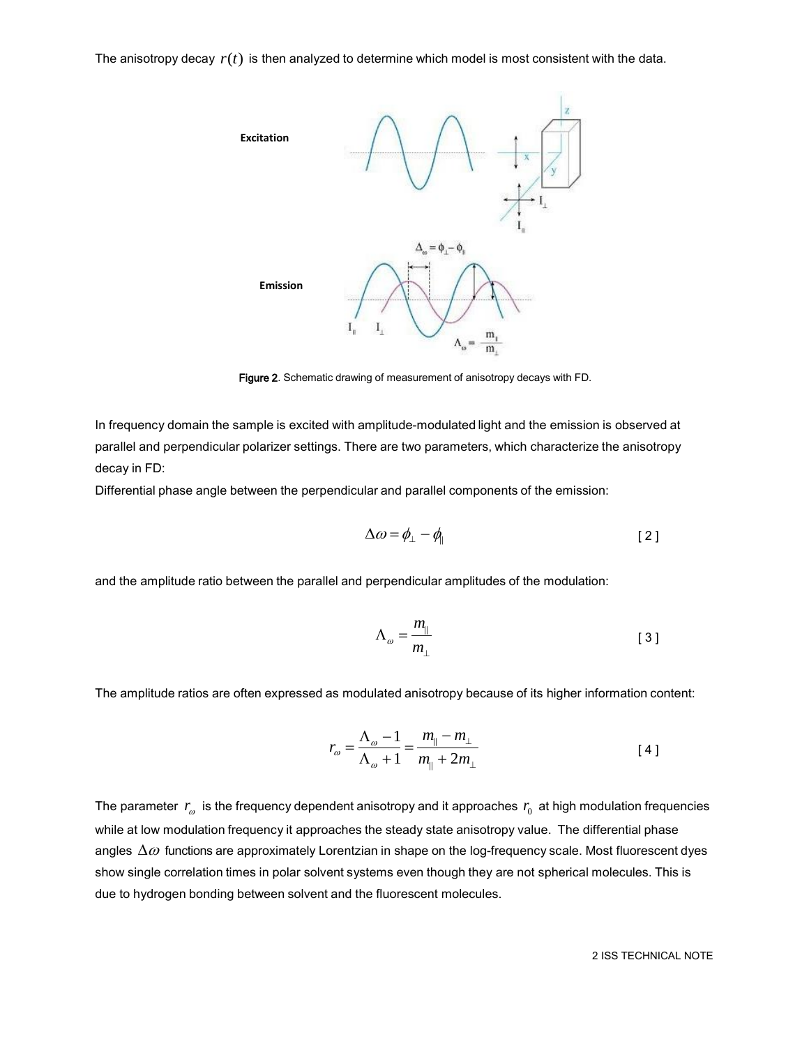The anisotropy decay  $r(t)$  is then analyzed to determine which model is most consistent with the data.



Figure 2. Schematic drawing of measurement of anisotropy decays with FD.

In frequency domain the sample is excited with amplitude-modulated light and the emission is observed at parallel and perpendicular polarizer settings. There are two parameters, which characterize the anisotropy decay in FD:

Differential phase angle between the perpendicular and parallel components of the emission:

$$
\Delta \omega = \phi_{\perp} - \phi_{\parallel} \tag{2}
$$

and the amplitude ratio between the parallel and perpendicular amplitudes of the modulation:

$$
\Lambda_{\omega} = \frac{m_{\parallel}}{m_{\perp}} \tag{3}
$$

The amplitude ratios are often expressed as modulated anisotropy because of its higher information content:

$$
r_{\omega} = \frac{\Lambda_{\omega} - 1}{\Lambda_{\omega} + 1} = \frac{m_{\parallel} - m_{\perp}}{m_{\parallel} + 2m_{\perp}}
$$
 [4]

The parameter  $\,r_{_{\!{\cal O}}}^{}$  is the frequency dependent anisotropy and it approaches  $\,r_{_{\!0}}\,$  at high modulation frequencies while at low modulation frequency it approaches the steady state anisotropy value. The differential phase angles  $\Delta\omega$  functions are approximately Lorentzian in shape on the log-frequency scale. Most fluorescent dyes show single correlation times in polar solvent systems even though they are not spherical molecules. This is due to hydrogen bonding between solvent and the fluorescent molecules.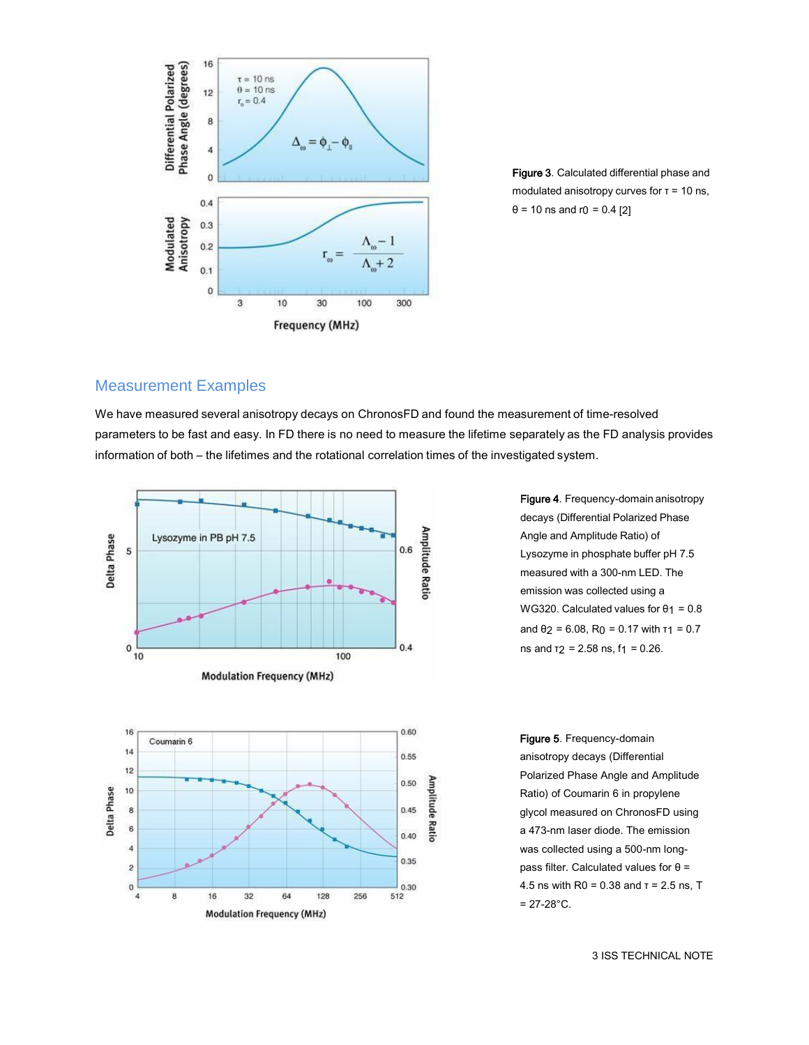

Figure 3. Calculated differential phase and modulated anisotropy curves for  $\tau$  = 10 ns,  $θ = 10$  ns and r $0 = 0.4$  [2]

## Measurement Examples

We have measured several anisotropy decays on ChronosFD and found the measurement of time-resolved parameters to be fast and easy. In FD there is no need to measure the lifetime separately as the FD analysis provides information of both – the lifetimes and the rotational correlation times of the investigated system.



Figure 4. Frequency-domain anisotropy decays (Differential Polarized Phase Angle and Amplitude Ratio) of Lysozyme in phosphate buffer pH 7.5 measured with a 300-nm LED. The emission was collected using a WG320. Calculated values for  $\theta$ 1 = 0.8 and  $\theta$ 2 = 6.08, R<sub>0</sub> = 0.17 with  $\tau$ 1 = 0.7 ns and  $t_2$  = 2.58 ns,  $t_1$  = 0.26.

Figure 5. Frequency-domain anisotropy decays (Differential Polarized Phase Angle and Amplitude Ratio) of Coumarin 6 in propylene glycol measured on ChronosFD using a 473-nm laser diode. The emission was collected using a 500-nm longpass filter. Calculated values for θ = 4.5 ns with R0 = 0.38 and τ = 2.5 ns, T  $= 27 - 28$ °C.